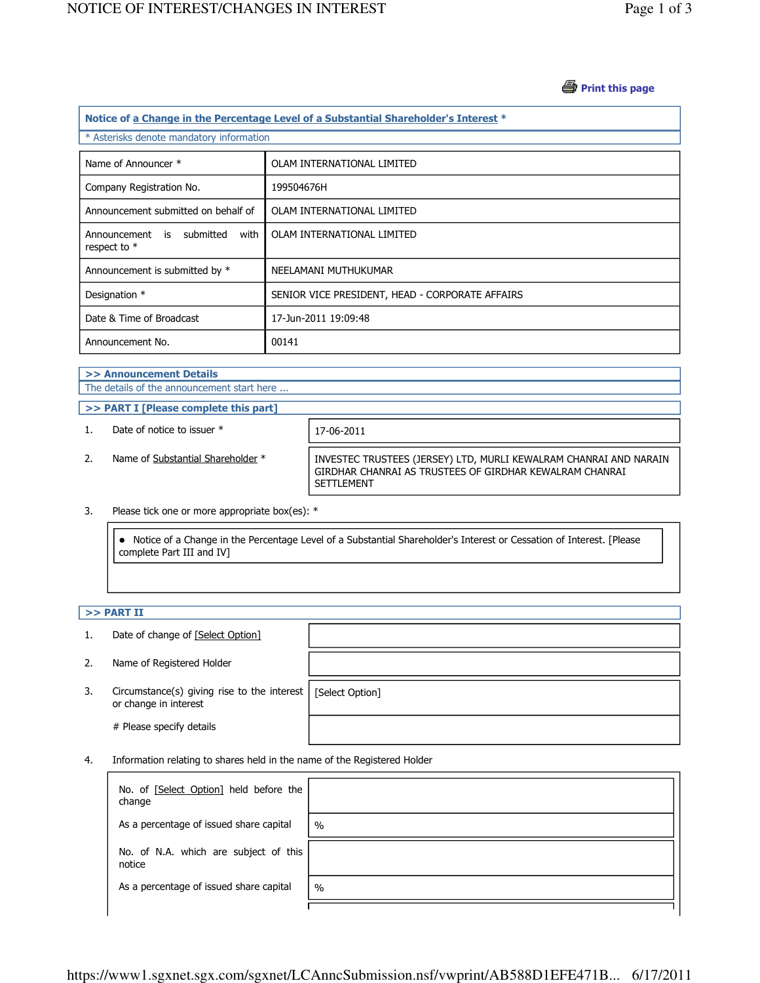### *S* Print this page

| Notice of a Change in the Percentage Level of a Substantial Shareholder's Interest * |                                                 |  |  |  |
|--------------------------------------------------------------------------------------|-------------------------------------------------|--|--|--|
| * Asterisks denote mandatory information                                             |                                                 |  |  |  |
| Name of Announcer *                                                                  | OLAM INTERNATIONAL LIMITED                      |  |  |  |
| Company Registration No.                                                             | 199504676H                                      |  |  |  |
| Announcement submitted on behalf of                                                  | OLAM INTERNATIONAL LIMITED                      |  |  |  |
| Announcement is submitted<br>with<br>respect to *                                    | OLAM INTERNATIONAL LIMITED                      |  |  |  |
| Announcement is submitted by *                                                       | NEELAMANI MUTHUKUMAR                            |  |  |  |
| Designation *                                                                        | SENIOR VICE PRESIDENT, HEAD - CORPORATE AFFAIRS |  |  |  |
| Date & Time of Broadcast                                                             | 17-Jun-2011 19:09:48                            |  |  |  |
| Announcement No.                                                                     | 00141                                           |  |  |  |

#### >> Announcement Details The details of the announcement start here ...

- >> PART I [Please complete this part]
- 1. Date of notice to issuer  $*$  17-06-2011

2. Name of Substantial Shareholder \* INVESTEC TRUSTEES (JERSEY) LTD, MURLI KEWALRAM CHANRAI AND NARAIN GIRDHAR CHANRAI AS TRUSTEES OF GIRDHAR KEWALRAM CHANRAI SETTLEMENT

#### 3. Please tick one or more appropriate box(es): \*

 Notice of a Change in the Percentage Level of a Substantial Shareholder's Interest or Cessation of Interest. [Please complete Part III and IV]

## $>>$  PART II

|    | Date of change of [Select Option]                                            |                 |
|----|------------------------------------------------------------------------------|-----------------|
| 2. | Name of Registered Holder                                                    |                 |
| 3. | Circumstance(s) giving rise to the interest $\vert$<br>or change in interest | [Select Option] |
|    | # Please specify details                                                     |                 |

4. Information relating to shares held in the name of the Registered Holder

| No. of [Select Option] held before the<br>change |               |
|--------------------------------------------------|---------------|
| As a percentage of issued share capital          | $\frac{0}{0}$ |
| No. of N.A. which are subject of this<br>notice  |               |
| As a percentage of issued share capital          | $\%$          |
|                                                  |               |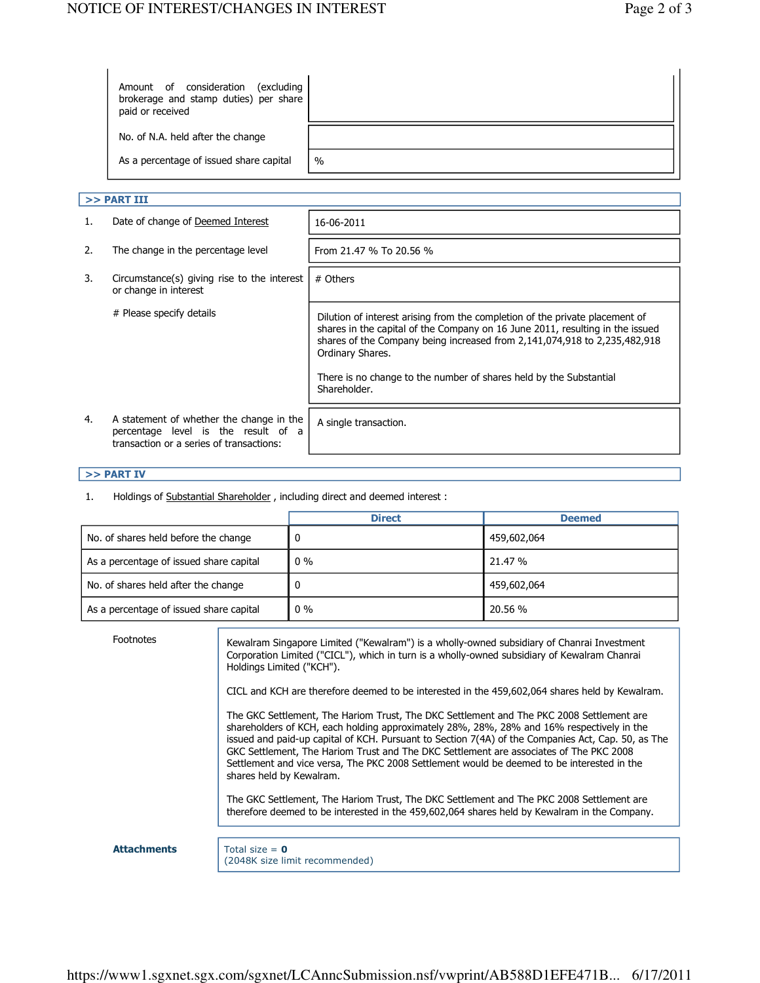| Amount of consideration<br>excluding)<br>brokerage and stamp duties) per share<br>paid or received |      |
|----------------------------------------------------------------------------------------------------|------|
| No. of N.A. held after the change                                                                  |      |
| As a percentage of issued share capital                                                            | $\%$ |

## $>>$  PART III

| Date of change of Deemed Interest                                                                                           | 16-06-2011                                                                                                                                                                                                                                                     |
|-----------------------------------------------------------------------------------------------------------------------------|----------------------------------------------------------------------------------------------------------------------------------------------------------------------------------------------------------------------------------------------------------------|
| The change in the percentage level                                                                                          | From 21.47 % To 20.56 %                                                                                                                                                                                                                                        |
| Circumstance(s) giving rise to the interest<br>or change in interest                                                        | # Others                                                                                                                                                                                                                                                       |
| # Please specify details                                                                                                    | Dilution of interest arising from the completion of the private placement of<br>shares in the capital of the Company on 16 June 2011, resulting in the issued<br>shares of the Company being increased from 2,141,074,918 to 2,235,482,918<br>Ordinary Shares. |
|                                                                                                                             | There is no change to the number of shares held by the Substantial<br>Shareholder.                                                                                                                                                                             |
| A statement of whether the change in the<br>percentage level is the result of a<br>transaction or a series of transactions: | A single transaction.                                                                                                                                                                                                                                          |
|                                                                                                                             |                                                                                                                                                                                                                                                                |

# >> PART IV

1. Holdings of Substantial Shareholder , including direct and deemed interest :

|                                         | <b>Direct</b> | <b>Deemed</b> |
|-----------------------------------------|---------------|---------------|
| No. of shares held before the change    |               | 459,602,064   |
| As a percentage of issued share capital | $0\%$         | 21.47 %       |
| No. of shares held after the change     |               | 459,602,064   |
| As a percentage of issued share capital | $0\%$         | 20.56 %       |

| Footnotes          | Kewalram Singapore Limited ("Kewalram") is a wholly-owned subsidiary of Chanrai Investment<br>Corporation Limited ("CICL"), which in turn is a wholly-owned subsidiary of Kewalram Chanrai<br>Holdings Limited ("KCH").                                                                                                                                                                                                                                                                                         |
|--------------------|-----------------------------------------------------------------------------------------------------------------------------------------------------------------------------------------------------------------------------------------------------------------------------------------------------------------------------------------------------------------------------------------------------------------------------------------------------------------------------------------------------------------|
|                    | CICL and KCH are therefore deemed to be interested in the 459,602,064 shares held by Kewalram.                                                                                                                                                                                                                                                                                                                                                                                                                  |
|                    | The GKC Settlement, The Hariom Trust, The DKC Settlement and The PKC 2008 Settlement are<br>shareholders of KCH, each holding approximately 28%, 28%, 28% and 16% respectively in the<br>issued and paid-up capital of KCH. Pursuant to Section 7(4A) of the Companies Act, Cap. 50, as The<br>GKC Settlement, The Hariom Trust and The DKC Settlement are associates of The PKC 2008<br>Settlement and vice versa, The PKC 2008 Settlement would be deemed to be interested in the<br>shares held by Kewalram. |
|                    | The GKC Settlement, The Hariom Trust, The DKC Settlement and The PKC 2008 Settlement are<br>therefore deemed to be interested in the 459,602,064 shares held by Kewalram in the Company.                                                                                                                                                                                                                                                                                                                        |
|                    |                                                                                                                                                                                                                                                                                                                                                                                                                                                                                                                 |
| <b>Attachments</b> | Total size = $\theta$<br>(2048K size limit recommended)                                                                                                                                                                                                                                                                                                                                                                                                                                                         |